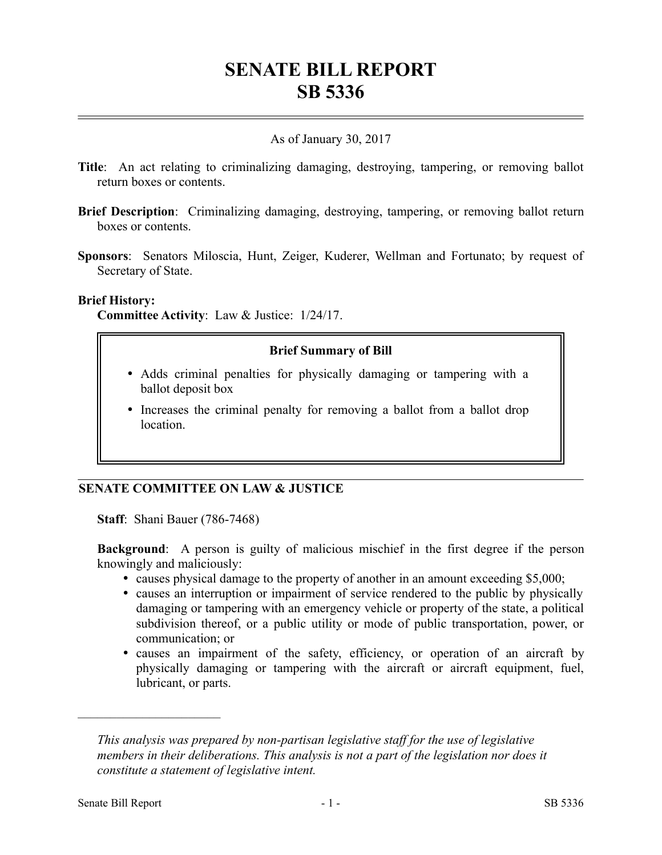# **SENATE BILL REPORT SB 5336**

# As of January 30, 2017

- **Title**: An act relating to criminalizing damaging, destroying, tampering, or removing ballot return boxes or contents.
- **Brief Description**: Criminalizing damaging, destroying, tampering, or removing ballot return boxes or contents.
- **Sponsors**: Senators Miloscia, Hunt, Zeiger, Kuderer, Wellman and Fortunato; by request of Secretary of State.

#### **Brief History:**

**Committee Activity**: Law & Justice: 1/24/17.

# **Brief Summary of Bill**

- Adds criminal penalties for physically damaging or tampering with a ballot deposit box
- Increases the criminal penalty for removing a ballot from a ballot drop location.

# **SENATE COMMITTEE ON LAW & JUSTICE**

**Staff**: Shani Bauer (786-7468)

**Background**: A person is guilty of malicious mischief in the first degree if the person knowingly and maliciously:

- causes physical damage to the property of another in an amount exceeding \$5,000;
- causes an interruption or impairment of service rendered to the public by physically damaging or tampering with an emergency vehicle or property of the state, a political subdivision thereof, or a public utility or mode of public transportation, power, or communication; or
- causes an impairment of the safety, efficiency, or operation of an aircraft by physically damaging or tampering with the aircraft or aircraft equipment, fuel, lubricant, or parts.

––––––––––––––––––––––

*This analysis was prepared by non-partisan legislative staff for the use of legislative members in their deliberations. This analysis is not a part of the legislation nor does it constitute a statement of legislative intent.*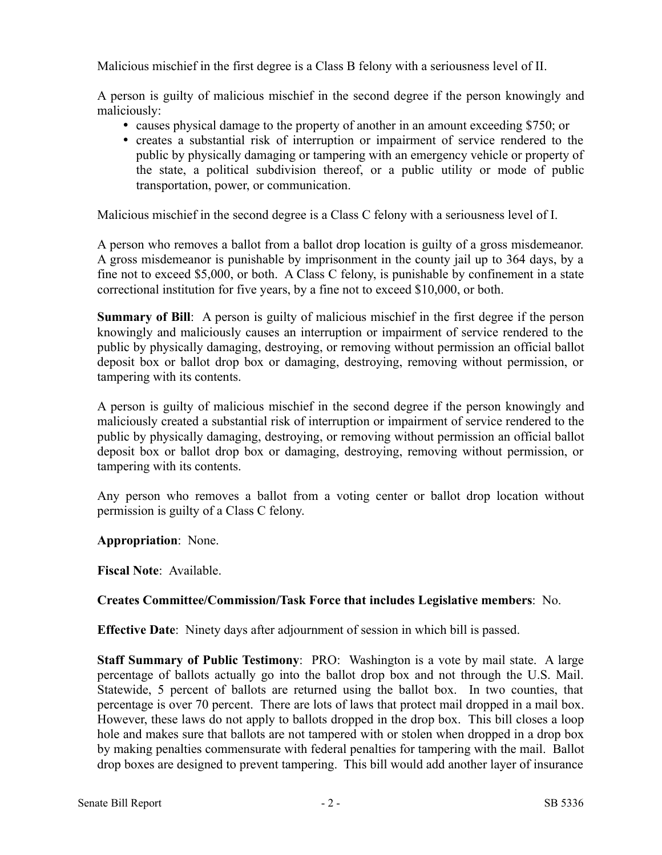Malicious mischief in the first degree is a Class B felony with a seriousness level of II.

A person is guilty of malicious mischief in the second degree if the person knowingly and maliciously:

- causes physical damage to the property of another in an amount exceeding \$750; or
- creates a substantial risk of interruption or impairment of service rendered to the public by physically damaging or tampering with an emergency vehicle or property of the state, a political subdivision thereof, or a public utility or mode of public transportation, power, or communication.

Malicious mischief in the second degree is a Class C felony with a seriousness level of I.

A person who removes a ballot from a ballot drop location is guilty of a gross misdemeanor. A gross misdemeanor is punishable by imprisonment in the county jail up to 364 days, by a fine not to exceed \$5,000, or both. A Class C felony, is punishable by confinement in a state correctional institution for five years, by a fine not to exceed \$10,000, or both.

**Summary of Bill:** A person is guilty of malicious mischief in the first degree if the person knowingly and maliciously causes an interruption or impairment of service rendered to the public by physically damaging, destroying, or removing without permission an official ballot deposit box or ballot drop box or damaging, destroying, removing without permission, or tampering with its contents.

A person is guilty of malicious mischief in the second degree if the person knowingly and maliciously created a substantial risk of interruption or impairment of service rendered to the public by physically damaging, destroying, or removing without permission an official ballot deposit box or ballot drop box or damaging, destroying, removing without permission, or tampering with its contents.

Any person who removes a ballot from a voting center or ballot drop location without permission is guilty of a Class C felony.

**Appropriation**: None.

**Fiscal Note**: Available.

# **Creates Committee/Commission/Task Force that includes Legislative members**: No.

**Effective Date**: Ninety days after adjournment of session in which bill is passed.

**Staff Summary of Public Testimony**: PRO: Washington is a vote by mail state. A large percentage of ballots actually go into the ballot drop box and not through the U.S. Mail. Statewide, 5 percent of ballots are returned using the ballot box. In two counties, that percentage is over 70 percent. There are lots of laws that protect mail dropped in a mail box. However, these laws do not apply to ballots dropped in the drop box. This bill closes a loop hole and makes sure that ballots are not tampered with or stolen when dropped in a drop box by making penalties commensurate with federal penalties for tampering with the mail. Ballot drop boxes are designed to prevent tampering. This bill would add another layer of insurance